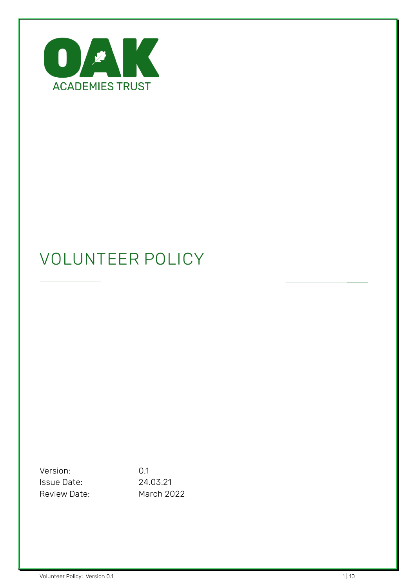

# **VOLUNTEER POLICY**

Version: 0.1 Issue Date: 24.03.21 Review Date: March 2022

Volunteer Policy: Version 0.1 1 | 10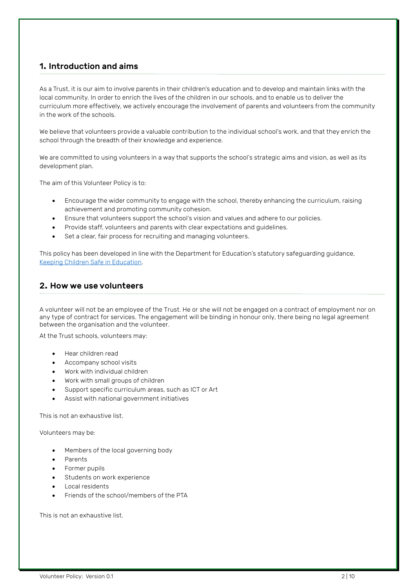#### 1. Introduction and aims

As a Trust, it is our aim to involve parents in their children's education and to develop and maintain links with the local community. In order to enrich the lives of the children in our schools, and to enable us to deliver the curriculum more effectively, we actively encourage the involvement of parents and volunteers from the community in the work of the schools.

We believe that volunteers provide a valuable contribution to the individual school's work, and that they enrich the school through the breadth of their knowledge and experience.

We are committed to using volunteers in a way that supports the school's strategic aims and vision, as well as its development plan.

The aim of this Volunteer Policy is to:

- Encourage the wider community to engage with the school, thereby enhancing the curriculum, raising achievement and promoting community cohesion.
- Ensure that volunteers support the school's vision and values and adhere to our policies.
- Provide staff, volunteers and parents with clear expectations and guidelines.
- Set a clear, fair process for recruiting and managing volunteers.

This policy has been developed in line with the Department for Education's statutory safeguarding guidance, [Keeping Children Safe in Education.](https://www.gov.uk/government/publications/keeping-children-safe-in-education--2)

#### 2. How we use volunteers

A volunteer will not be an employee of the Trust. He or she will not be engaged on a contract of employment nor on any type of contract for services. The engagement will be binding in honour only, there being no legal agreement between the organisation and the volunteer.

At the Trust schools, volunteers may:

- Hear children read
- Accompany school visits
- Work with individual children
- Work with small groups of children
- Support specific curriculum areas, such as ICT or Art
- Assist with national government initiatives

This is not an exhaustive list.

Volunteers may be:

- Members of the local governing body
- Parents
- Former pupils
- Students on work experience
- Local residents
- Friends of the school/members of the PTA

This is not an exhaustive list.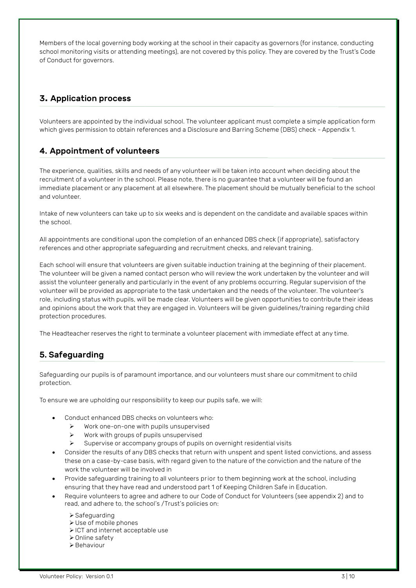Members of the local governing body working at the school in their capacity as governors (for instance, conducting school monitoring visits or attending meetings), are not covered by this policy. They are covered by the Trust's Code of Conduct for governors.

#### 3. Application process

Volunteers are appointed by the individual school. The volunteer applicant must complete a simple application form which gives permission to obtain references and a Disclosure and Barring Scheme (DBS) check - Appendix 1.

#### 4. Appointment of volunteers

The experience, qualities, skills and needs of any volunteer will be taken into account when deciding about the recruitment of a volunteer in the school. Please note, there is no guarantee that a volunteer will be found an immediate placement or any placement at all elsewhere. The placement should be mutually beneficial to the school and volunteer.

Intake of new volunteers can take up to six weeks and is dependent on the candidate and available spaces within the school.

All appointments are conditional upon the completion of an enhanced DBS check (if appropriate), satisfactory references and other appropriate safeguarding and recruitment checks, and relevant training.

Each school will ensure that volunteers are given suitable induction training at the beginning of their placement. The volunteer will be given a named contact person who will review the work undertaken by the volunteer and will assist the volunteer generally and particularly in the event of any problems occurring. Regular supervision of the volunteer will be provided as appropriate to the task undertaken and the needs of the volunteer. The volunteer's role, including status with pupils, will be made clear. Volunteers will be given opportunities to contribute their ideas and opinions about the work that they are engaged in. Volunteers will be given guidelines/training regarding child protection procedures.

The Headteacher reserves the right to terminate a volunteer placement with immediate effect at any time.

#### 5. Safeguarding

Safeguarding our pupils is of paramount importance, and our volunteers must share our commitment to child protection.

To ensure we are upholding our responsibility to keep our pupils safe, we will:

- Conduct enhanced DBS checks on volunteers who:
	- ➢ Work one-on-one with pupils unsupervised
		- ➢ Work with groups of pupils unsupervised
		- ➢ Supervise or accompany groups of pupils on overnight residential visits
- Consider the results of any DBS checks that return with unspent and spent listed convictions, and assess these on a case-by-case basis, with regard given to the nature of the conviction and the nature of the work the volunteer will be involved in
- Provide safeguarding training to all volunteers **prior** to them beginning work at the school, including ensuring that they have read and understood part 1 of Keeping Children Safe in Education.
- Require volunteers to agree and adhere to our Code of Conduct for Volunteers (see appendix 2) and to read, and adhere to, the school's /Trust's policies on:
	- ➢Safeguarding
	- ➢Use of mobile phones
	- ➢ICT and internet acceptable use
	- ➢Online safety
	- ➢Behaviour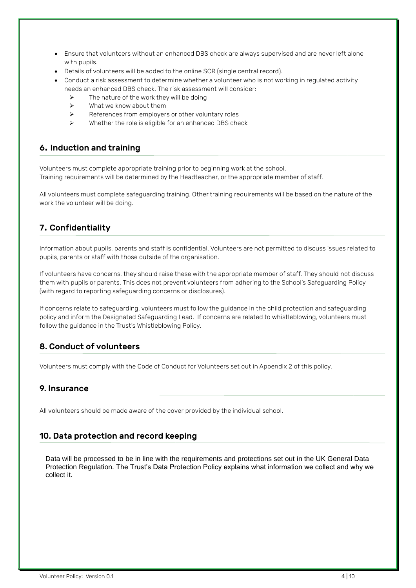- Ensure that volunteers without an enhanced DBS check are always supervised and are never left alone with pupils.
- Details of volunteers will be added to the online SCR (single central record).
- Conduct a risk assessment to determine whether a volunteer who is not working in regulated activity needs an enhanced DBS check. The risk assessment will consider:
	- $\triangleright$  The nature of the work they will be doing
	- $\triangleright$  What we know about them
	- References from employers or other voluntary roles
	- ➢ Whether the role is eligible for an enhanced DBS check

#### 6. Induction and training

Volunteers must complete appropriate training prior to beginning work at the school. Training requirements will be determined by the Headteacher, or the appropriate member of staff.

All volunteers must complete safeguarding training. Other training requirements will be based on the nature of the work the volunteer will be doing.

#### 7. Confidentiality

Information about pupils, parents and staff is confidential. Volunteers are not permitted to discuss issues related to pupils, parents or staff with those outside of the organisation.

If volunteers have concerns, they should raise these with the appropriate member of staff. They should not discuss them with pupils or parents. This does not prevent volunteers from adhering to the School's Safeguarding Policy (with regard to reporting safeguarding concerns or disclosures).

If concerns relate to safeguarding, volunteers must follow the guidance in the child protection and safeguarding policy and inform the Designated Safeguarding Lead. If concerns are related to whistleblowing, volunteers must follow the guidance in the Trust's Whistleblowing Policy.

#### 8. Conduct of volunteers

Volunteers must comply with the Code of Conduct for Volunteers set out in Appendix 2 of this policy.

#### 9. Insurance

All volunteers should be made aware of the cover provided by the individual school.

#### 10. Data protection and record keeping

Data will be processed to be in line with the requirements and protections set out in the UK General Data Protection Regulation. The Trust's Data Protection Policy explains what information we collect and why we collect it.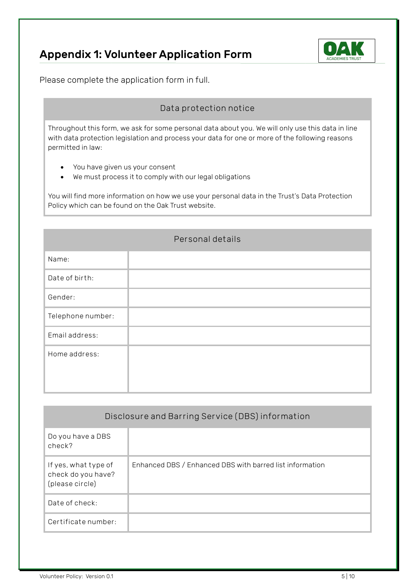## Appendix 1: Volunteer Application Form



Please complete the application form in full.

#### **Data protection notice**

Throughout this form, we ask for some personal data about you. We will only use this data in line with data protection legislation and process your data for one or more of the following reasons permitted in law:

- You have given us your consent
- We must process it to comply with our legal obligations

You will find more information on how we use your personal data in the Trust's Data Protection Policy which can be found on the Oak Trust website.

| Personal details  |  |  |  |  |
|-------------------|--|--|--|--|
| Name:             |  |  |  |  |
| Date of birth:    |  |  |  |  |
| Gender:           |  |  |  |  |
| Telephone number: |  |  |  |  |
| Email address:    |  |  |  |  |
| Home address:     |  |  |  |  |

| Disclosure and Barring Service (DBS) information              |                                                          |  |  |  |
|---------------------------------------------------------------|----------------------------------------------------------|--|--|--|
| Do you have a DBS<br>check?                                   |                                                          |  |  |  |
| If yes, what type of<br>check do you have?<br>(please circle) | Enhanced DBS / Enhanced DBS with barred list information |  |  |  |
| Date of check:                                                |                                                          |  |  |  |
| Certificate number:                                           |                                                          |  |  |  |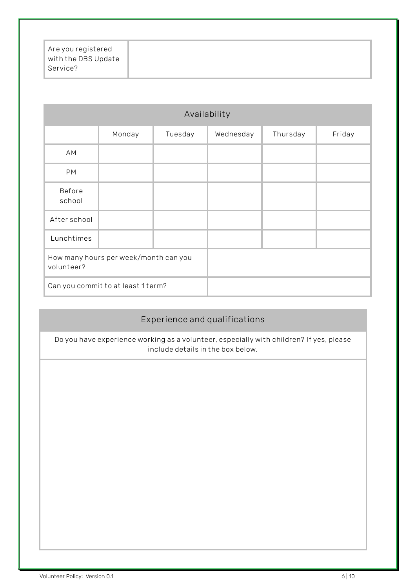| Availability                                        |        |         |           |          |        |
|-----------------------------------------------------|--------|---------|-----------|----------|--------|
|                                                     | Monday | Tuesday | Wednesday | Thursday | Friday |
| AM                                                  |        |         |           |          |        |
| <b>PM</b>                                           |        |         |           |          |        |
| Before<br>school                                    |        |         |           |          |        |
| After school                                        |        |         |           |          |        |
| Lunchtimes                                          |        |         |           |          |        |
| How many hours per week/month can you<br>volunteer? |        |         |           |          |        |
| Can you commit to at least 1 term?                  |        |         |           |          |        |

### **Experience and qualifications**

**Do you have experience working as a volunteer, especially with children? If yes, please include details in the box below.**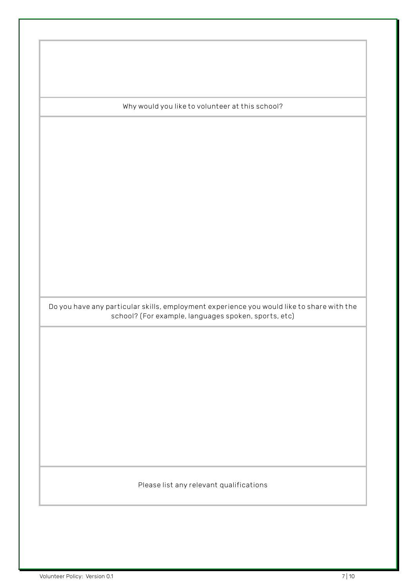**Why would you like to volunteer at this school?**

**Do you have any particular skills, employment experience you would like to share with the school? (For example, languages spoken, sports, etc)**

**Please list any relevant qualifications**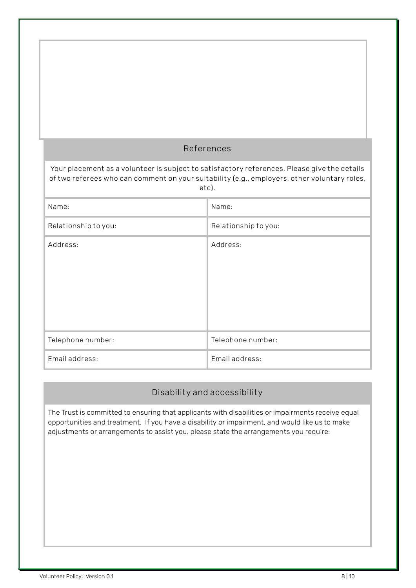#### **References**

**Your placement as a volunteer is subject to satisfactory references. Please give the details of two referees who can comment on your suitability (e.g., employers, other voluntary roles, etc).**

| Name:                | Name:                |
|----------------------|----------------------|
| Relationship to you: | Relationship to you: |
| Address:             | Address:             |
| Telephone number:    | Telephone number:    |
| Email address:       | Email address:       |

#### **Disability and accessibility**

The Trust is committed to ensuring that applicants with disabilities or impairments receive equal opportunities and treatment. If you have a disability or impairment, and would like us to make adjustments or arrangements to assist you, please state the arrangements you require: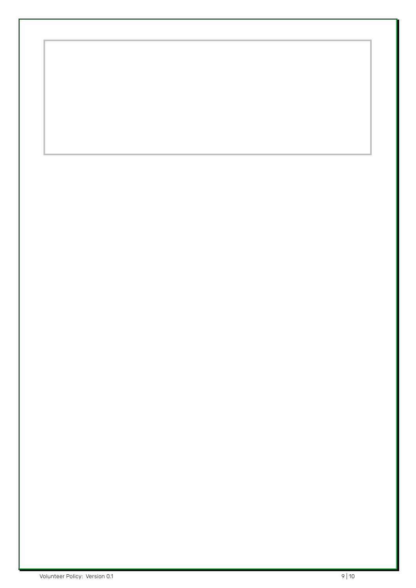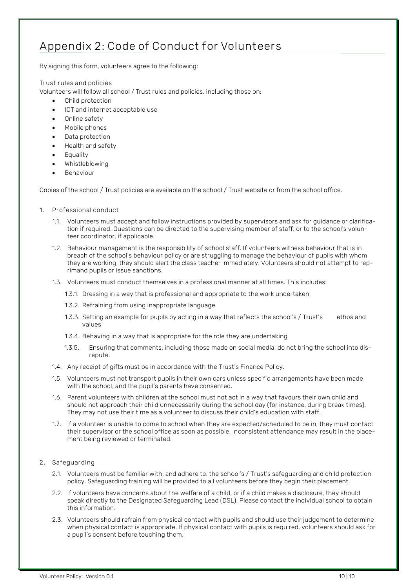## **Appendix 2: Code of Conduct for Volunteers**

By signing this form, volunteers agree to the following:

**Trust rules and policies**

Volunteers will follow all school / Trust rules and policies, including those on:

- Child protection
- ICT and internet acceptable use
- Online safety
- Mobile phones
- Data protection
- Health and safety
- **Equality**
- Whistleblowing
- **Behaviour**

Copies of the school / Trust policies are available on the school / Trust website or from the school office.

- **1. Professional conduct**
	- 1.1. Volunteers must accept and follow instructions provided by supervisors and ask for guidance or clarification if required. Questions can be directed to the supervising member of staff, or to the school's volunteer coordinator, if applicable.
	- 1.2. Behaviour management is the responsibility of school staff. If volunteers witness behaviour that is in breach of the school's behaviour policy or are struggling to manage the behaviour of pupils with whom they are working, they should alert the class teacher immediately. Volunteers should not attempt to reprimand pupils or issue sanctions.
	- 1.3. Volunteers must conduct themselves in a professional manner at all times. This includes:
		- 1.3.1. Dressing in a way that is professional and appropriate to the work undertaken
		- 1.3.2. Refraining from using inappropriate language
		- 1.3.3. Setting an example for pupils by acting in a way that reflects the school's / Trust's ethos and values
		- 1.3.4. Behaving in a way that is appropriate for the role they are undertaking
		- 1.3.5. Ensuring that comments, including those made on social media, do not bring the school into disrepute.
	- 1.4. Any receipt of gifts must be in accordance with the Trust's Finance Policy.
	- 1.5. Volunteers must not transport pupils in their own cars unless specific arrangements have been made with the school, and the pupil's parents have consented.
	- 1.6. Parent volunteers with children at the school must not act in a way that favours their own child and should not approach their child unnecessarily during the school day (for instance, during break times). They may not use their time as a volunteer to discuss their child's education with staff.
	- 1.7. If a volunteer is unable to come to school when they are expected/scheduled to be in, they must contact their supervisor or the school office as soon as possible. Inconsistent attendance may result in the placement being reviewed or terminated.
- **2. Safeguarding**
	- 2.1. Volunteers must be familiar with, and adhere to, the school's / Trust's safeguarding and child protection policy. Safeguarding training will be provided to all volunteers before they begin their placement.
	- 2.2. If volunteers have concerns about the welfare of a child, or if a child makes a disclosure, they should speak directly to the Designated Safeguarding Lead (DSL). Please contact the individual school to obtain this information.
	- 2.3. Volunteers should refrain from physical contact with pupils and should use their judgement to determine when physical contact is appropriate. If physical contact with pupils is required, volunteers should ask for a pupil's consent before touching them.